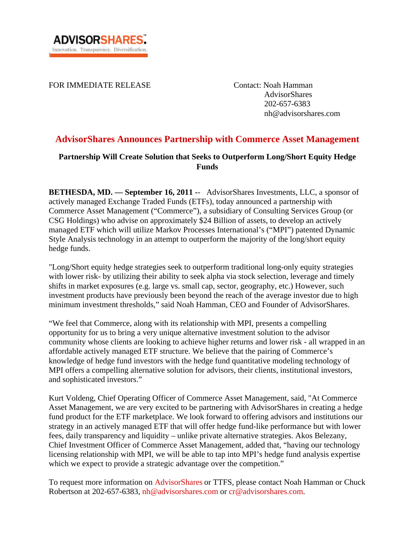FOR IMMEDIATE RELEASE Contact: Noah Hamman

 AdvisorShares 202-657-6383 nh@advisorshares.com

# **AdvisorShares Announces Partnership with Commerce Asset Management**

# **Partnership Will Create Solution that Seeks to Outperform Long/Short Equity Hedge Funds**

**BETHESDA, MD. — September 16, 2011 -**- AdvisorShares Investments, LLC, a sponsor of actively managed Exchange Traded Funds (ETFs), today announced a partnership with Commerce Asset Management ("Commerce"), a subsidiary of Consulting Services Group (or CSG Holdings) who advise on approximately \$24 Billion of assets, to develop an actively managed ETF which will utilize Markov Processes International's ("MPI") patented Dynamic Style Analysis technology in an attempt to outperform the majority of the long/short equity hedge funds.

"Long/Short equity hedge strategies seek to outperform traditional long-only equity strategies with lower risk- by utilizing their ability to seek alpha via stock selection, leverage and timely shifts in market exposures (e.g. large vs. small cap, sector, geography, etc.) However, such investment products have previously been beyond the reach of the average investor due to high minimum investment thresholds," said Noah Hamman, CEO and Founder of AdvisorShares.

"We feel that Commerce, along with its relationship with MPI, presents a compelling opportunity for us to bring a very unique alternative investment solution to the advisor community whose clients are looking to achieve higher returns and lower risk - all wrapped in an affordable actively managed ETF structure. We believe that the pairing of Commerce's knowledge of hedge fund investors with the hedge fund quantitative modeling technology of MPI offers a compelling alternative solution for advisors, their clients, institutional investors, and sophisticated investors."

Kurt Voldeng, Chief Operating Officer of Commerce Asset Management, said, "At Commerce Asset Management, we are very excited to be partnering with AdvisorShares in creating a hedge fund product for the ETF marketplace. We look forward to offering advisors and institutions our strategy in an actively managed ETF that will offer hedge fund-like performance but with lower fees, daily transparency and liquidity – unlike private alternative strategies. Akos Belezany, Chief Investment Officer of Commerce Asset Management, added that, "having our technology licensing relationship with MPI, we will be able to tap into MPI's hedge fund analysis expertise which we expect to provide a strategic advantage over the competition."

To request more information on AdvisorShares or TTFS, please contact Noah Hamman or Chuck Robertson at 202-657-6383, nh@advisorshares.com or cr@advisorshares.com.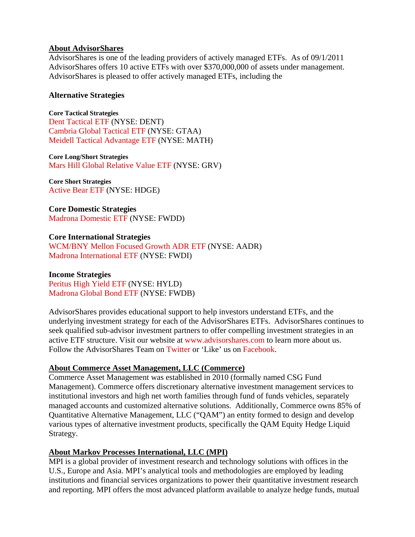#### **About AdvisorShares**

AdvisorShares is one of the leading providers of actively managed ETFs. As of 09/1/2011 AdvisorShares offers 10 active ETFs with over \$370,000,000 of assets under management. AdvisorShares is pleased to offer actively managed ETFs, including the

### **Alternative Strategies**

**Core Tactical Strategies**  Dent Tactical ETF (NYSE: DENT) Cambria Global Tactical ETF (NYSE: GTAA) Meidell Tactical Advantage ETF (NYSE: MATH)

**Core Long/Short Strategies**  Mars Hill Global Relative Value ETF (NYSE: GRV)

**Core Short Strategies**  Active Bear ETF (NYSE: HDGE)

**Core Domestic Strategies**  Madrona Domestic ETF (NYSE: FWDD)

#### **Core International Strategies**

WCM/BNY Mellon Focused Growth ADR ETF (NYSE: AADR) Madrona International ETF (NYSE: FWDI)

#### **Income Strategies**

Peritus High Yield ETF (NYSE: HYLD) Madrona Global Bond ETF (NYSE: FWDB)

AdvisorShares provides educational support to help investors understand ETFs, and the underlying investment strategy for each of the AdvisorShares ETFs. AdvisorShares continues to seek qualified sub-advisor investment partners to offer compelling investment strategies in an active ETF structure. Visit our website at www.advisorshares.com to learn more about us. Follow the AdvisorShares Team on Twitter or 'Like' us on Facebook.

# **About Commerce Asset Management, LLC (Commerce)**

Commerce Asset Management was established in 2010 (formally named CSG Fund Management). Commerce offers discretionary alternative investment management services to institutional investors and high net worth families through fund of funds vehicles, separately managed accounts and customized alternative solutions. Additionally, Commerce owns 85% of Quantitative Alternative Management, LLC ("QAM") an entity formed to design and develop various types of alternative investment products, specifically the QAM Equity Hedge Liquid Strategy.

# **About Markov Processes International, LLC (MPI)**

MPI is a global provider of investment research and technology solutions with offices in the U.S., Europe and Asia. MPI's analytical tools and methodologies are employed by leading institutions and financial services organizations to power their quantitative investment research and reporting. MPI offers the most advanced platform available to analyze hedge funds, mutual